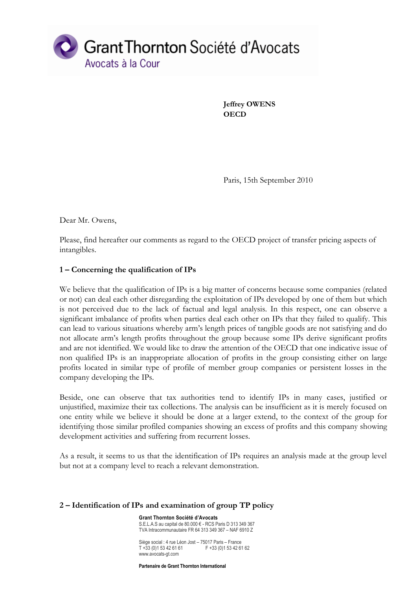

**Jeffrey OWENS OECD**

Paris, 15th September 2010

Dear Mr. Owens,

Please, find hereafter our comments as regard to the OECD project of transfer pricing aspects of intangibles.

## **1 – Concerning the qualification of IPs**

We believe that the qualification of IPs is a big matter of concerns because some companies (related or not) can deal each other disregarding the exploitation of IPs developed by one of them but which is not perceived due to the lack of factual and legal analysis. In this respect, one can observe a significant imbalance of profits when parties deal each other on IPs that they failed to qualify. This can lead to various situations whereby arm's length prices of tangible goods are not satisfying and do not allocate arm's length profits throughout the group because some IPs derive significant profits and are not identified. We would like to draw the attention of the OECD that one indicative issue of non qualified IPs is an inappropriate allocation of profits in the group consisting either on large profits located in similar type of profile of member group companies or persistent losses in the company developing the IPs.

Beside, one can observe that tax authorities tend to identify IPs in many cases, justified or unjustified, maximize their tax collections. The analysis can be insufficient as it is merely focused on one entity while we believe it should be done at a larger extend, to the context of the group for identifying those similar profiled companies showing an excess of profits and this company showing development activities and suffering from recurrent losses.

As a result, it seems to us that the identification of IPs requires an analysis made at the group level but not at a company level to reach a relevant demonstration.

## **2 – Identification of IPs and examination of group TP policy**

**Grant Thornton Société d'Avocats** S.E.L.A.S au capital de 80.000 € - RCS Paris D 313 349 367 TVA Intracommunautaire FR 64 313 349 367 – NAF 6910 Z

Siège social : 4 rue Léon Jost – 75017 Paris – France  $T + 33$  (0)1 53 42 61 61 F +33 (0)1 53 42 61 62 www.avocats-gt.com

**Partenaire de Grant Thornton International**